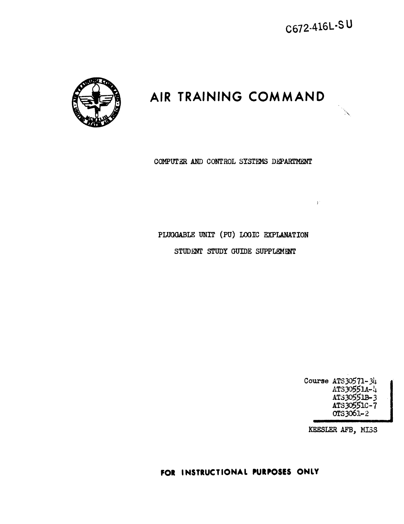$\mathcal{V}^{\pm}$ 

## **AIR TRAINING COMMAND**



COMPUTER AND CONTROL SYSTEMS DEPARTMENT

## PLUGGABLE UNIT (PU) LOOIC EXPLANATION STUDENT STUDY GUIDE SUPPLEMENT

Course ATSJ0571-34 ATS30551A-4 ATSJ0551B-3 ATS30551C-7 ors3o61-2

KEESLER AFB, MISS

FOR INSTRUCTIONAL PURPOSES ONLY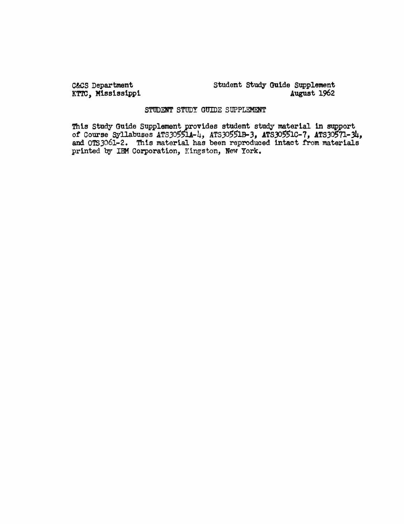C&cS Department KTTC, Mississippi Student study Gulde Supplement August 1962

## STUDENT STUDY GUIDE SUPPLEMENT

This Study Guide Supplement provides student study material in support of Course Syllabuses ATS30551A-4, ATS30551B-3, ATS30551C-7, ATS30571-34, and OTSJ061-2. This material has been reproduced intact from materials printed by IBM Corporation, Kingston, New York.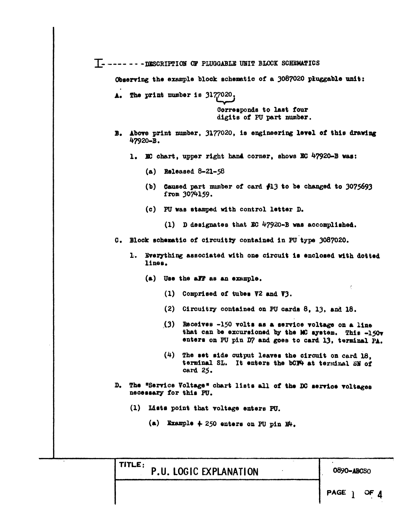T--------- - DESCRIPTION OF PLUGGABLE UNIT BLOCK SCHEMATICS

Observing the example block schematic of a 3087020 pluggable unit:

A. The print number is 3177020,

Corresponds to last four digits of PU part number.

- B. Above print number, 3177020, is engineering level of this drawing 47920-B.
	- 1. EC chart, upper right hand corner, shows EC 47920-B was:
		- (a) Released  $8-21-58$
		- (b) Caused part mumber of card  $f13$  to be changed to 3075693 from 3074159.
		- (c) PU was stamped with control letter D.
			- (1) D designates that EC 47920-B was accomplished.

C. Block schematic of circuitry contained in PU type 3087020.

- 1. Everything associated with one circuit is enclosed with dotted lines.
	- (a) Use the aFF as an example.
		- (1) Comprised of tubes V2 and V3.
		- (2) Circuitry contained on PU cards 8, 13, and 18.
		- (3) Receives -150 volts as a service voltage on a line that can be excursioned by the MC system. This -150v enters on PU pin D7 and goes to card 13, terminal PA.
		- (4) The set side output leaves the circuit on card 18. terminal SL. It enters the bCF4 at terminal SM of card 25.
- D. The "Service Voltage" chart lists all of the DC service voltages necessary for this PU.
	- (1) Lists point that voltage enters PU.
		- (a) Example  $\div$  250 enters on PU pin E<sup>4</sup>.

TITLE; P.U. LOGIC EXPLANATION

**0890-ABCSO**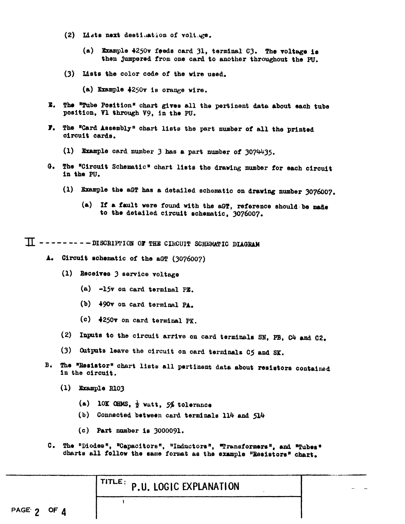- (2) Lists next destination of voltuge.
	- (a) Example 4250v feeds card 31, terminal C3. The voltage is then jumpered from one card to another throughout the PU.
- (3) Lists the color code of the wire used.
	- (a) Example 4250v is orange wire.
- $\mathbf{r}$ . The "Tube Position" chart gives all the pertinent data about each tube position, Vl through V9, in the PU.
- **F.** The "Card Assembly" chart lists the part number of all the printed circuit cards.
	- (1) Example card number 3 has a part number of 3074435.
- G. The "Circuit Schematic" chart lists the drawing number for each circuit in the PU.
	- (1) Example the aGT has a detailed schematic on drawing number 3076007.
		- (a) If a fault were found with the aGT, reference should be made to the detailed circuit schematic, 3076007.

 $\Pi$  ---------DISCRIPTION OF THE CIRCUIT SCHEMATIC DIAGRAM

- A. Circuit schematic of the aGT (3076007)
	- (1) Receives 3 service voltage
		- $(a)$  -15 $v$  on card terminal PE.
		- (b) 490v on card terminal PA.
		- (c) ↓250v on card terminal PK.
	- (2) Inputs to the circuit arrive on card terminals SN, PB, C4 and C2.
	- (3) Outputs leave the circuit on card terminals C5 and SK.
- B. The "Resistor" chart lists all pertinent data about resistors contained in the circuit.
	- $(1)$  Example R103
		- (a) 10K OHMS,  $\frac{1}{2}$  watt, 5% tolerance
		- (b) Connected between card terminals 114 and 514
		- $(c)$  Part number is 3000091.

 $\mathbf{I}$ 

 $c_{\bullet}$ The "Diodes", "Capacitors", "Inductors", "Transformers", and "Tubes" charts all follow the same format as the example "Resistors" chart.

|  |  |  | TITLE: P.U. LOGIC EXPLANATION |  |
|--|--|--|-------------------------------|--|
|--|--|--|-------------------------------|--|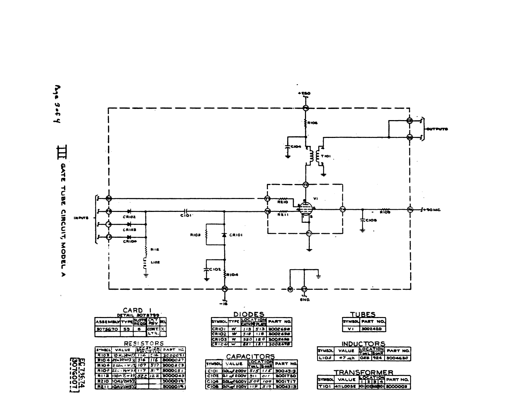